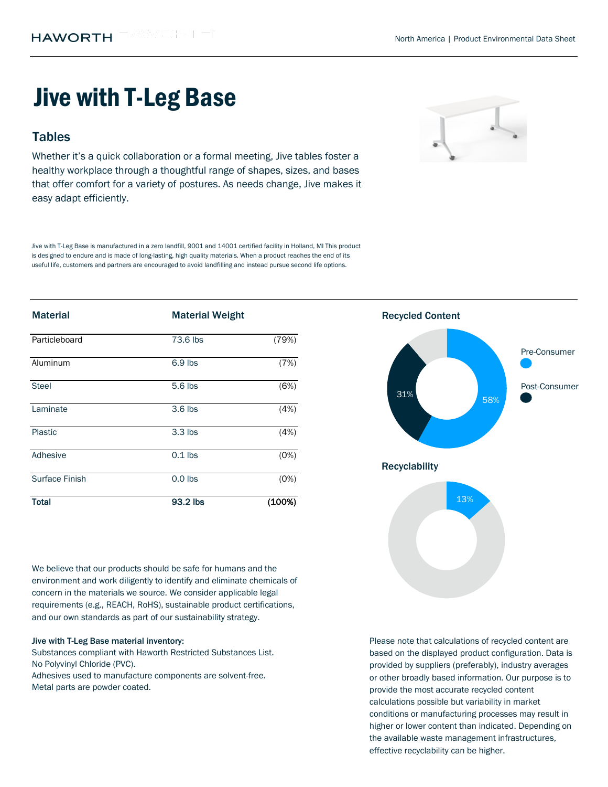# Jive with T-Leg Base

## **Tables**

Whether it's a quick collaboration or a formal meeting, Jive tables foster a healthy workplace through a thoughtful range of shapes, sizes, and bases that offer comfort for a variety of postures. As needs change, Jive makes it easy adapt efficiently.

Jive with T-Leg Base is manufactured in a zero landfill, 9001 and 14001 certified facility in Holland, MI This product is designed to endure and is made of long-lasting, high quality materials. When a product reaches the end of its useful life, customers and partners are encouraged to avoid landfilling and instead pursue second life options.

| <b>Material</b> | <b>Material Weight</b> |        | <b>Recycled Content</b> |
|-----------------|------------------------|--------|-------------------------|
| Particleboard   | 73.6 lbs               | (79%)  |                         |
| Aluminum        | 6.9 lbs                | (7%)   | Pre-Consumer            |
| Steel           | 5.6 lbs                | (6%)   | Post-Consumer<br>31%    |
| Laminate        | 3.6 lbs                | (4%)   | 58%                     |
| Plastic         | $3.3$ lbs              | (4%)   |                         |
| Adhesive        | $0.1$ lbs              | (0%)   | <b>Recyclability</b>    |
| Surface Finish  | $0.0$ lbs              | (0%)   |                         |
| <b>Total</b>    | 93.2 lbs               | (100%) | 13%                     |

We believe that our products should be safe for humans and the environment and work diligently to identify and eliminate chemicals of concern in the materials we source. We consider applicable legal requirements (e.g., REACH, RoHS), sustainable product certifications, and our own standards as part of our sustainability strategy.

#### Jive with T-Leg Base material inventory:

Substances compliant with Haworth Restricted Substances List. No Polyvinyl Chloride (PVC).

Metal parts are powder coated. Adhesives used to manufacture components are solvent-free.



Pre-Consumer 58% 31% 13% Recyclability

Please note that calculations of recycled content are based on the displayed product configuration. Data is provided by suppliers (preferably), industry averages or other broadly based information. Our purpose is to provide the most accurate recycled content calculations possible but variability in market conditions or manufacturing processes may result in higher or lower content than indicated. Depending on the available waste management infrastructures, effective recyclability can be higher.